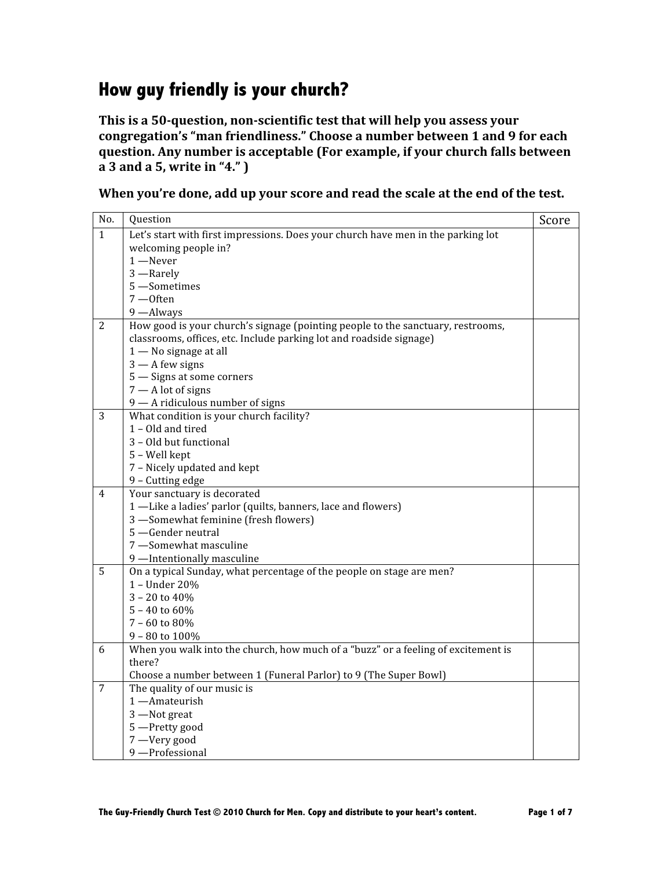## **How guy friendly is your church?**

This is a 50-question, non-scientific test that will help you assess your **congregation's "man friendliness." Choose a number between 1 and 9 for each question. Any number is acceptable (For example, if your church falls between a 3 and a 5, write in "4." )**

**When you're done, add up your score and read the scale at the end of the test.**

| No.            | Question                                                                          | Score |
|----------------|-----------------------------------------------------------------------------------|-------|
| $\mathbf{1}$   | Let's start with first impressions. Does your church have men in the parking lot  |       |
|                | welcoming people in?                                                              |       |
|                | $1 -$ Never                                                                       |       |
|                | 3 -Rarely                                                                         |       |
|                | 5 -Sometimes                                                                      |       |
|                | $7 -$ Often                                                                       |       |
|                | 9 -Always                                                                         |       |
| 2              | How good is your church's signage (pointing people to the sanctuary, restrooms,   |       |
|                | classrooms, offices, etc. Include parking lot and roadside signage)               |       |
|                | $1 -$ No signage at all                                                           |       |
|                | $3 - A$ few signs                                                                 |       |
|                | 5 - Signs at some corners                                                         |       |
|                | $7 - A$ lot of signs                                                              |       |
|                | 9 - A ridiculous number of signs                                                  |       |
| 3              | What condition is your church facility?                                           |       |
|                | 1 - Old and tired                                                                 |       |
|                | 3 - Old but functional                                                            |       |
|                | 5 - Well kept                                                                     |       |
|                | 7 - Nicely updated and kept                                                       |       |
|                | 9 - Cutting edge                                                                  |       |
| $\overline{4}$ | Your sanctuary is decorated                                                       |       |
|                | 1 -Like a ladies' parlor (quilts, banners, lace and flowers)                      |       |
|                | 3 -Somewhat feminine (fresh flowers)                                              |       |
|                | 5 -Gender neutral                                                                 |       |
|                | 7 -Somewhat masculine                                                             |       |
|                | 9 -Intentionally masculine                                                        |       |
| 5              | On a typical Sunday, what percentage of the people on stage are men?              |       |
|                | 1 - Under 20%                                                                     |       |
|                | $3 - 20$ to $40%$                                                                 |       |
|                | $5 - 40$ to $60\%$                                                                |       |
|                | $7 - 60$ to $80%$                                                                 |       |
|                | $9 - 80$ to $100\%$                                                               |       |
| 6              | When you walk into the church, how much of a "buzz" or a feeling of excitement is |       |
|                | there?                                                                            |       |
|                | Choose a number between 1 (Funeral Parlor) to 9 (The Super Bowl)                  |       |
| 7              | The quality of our music is                                                       |       |
|                | 1 - Amateurish                                                                    |       |
|                | 3 -Not great                                                                      |       |
|                | 5 -Pretty good                                                                    |       |
|                | 7 -Very good                                                                      |       |
|                | 9-Professional                                                                    |       |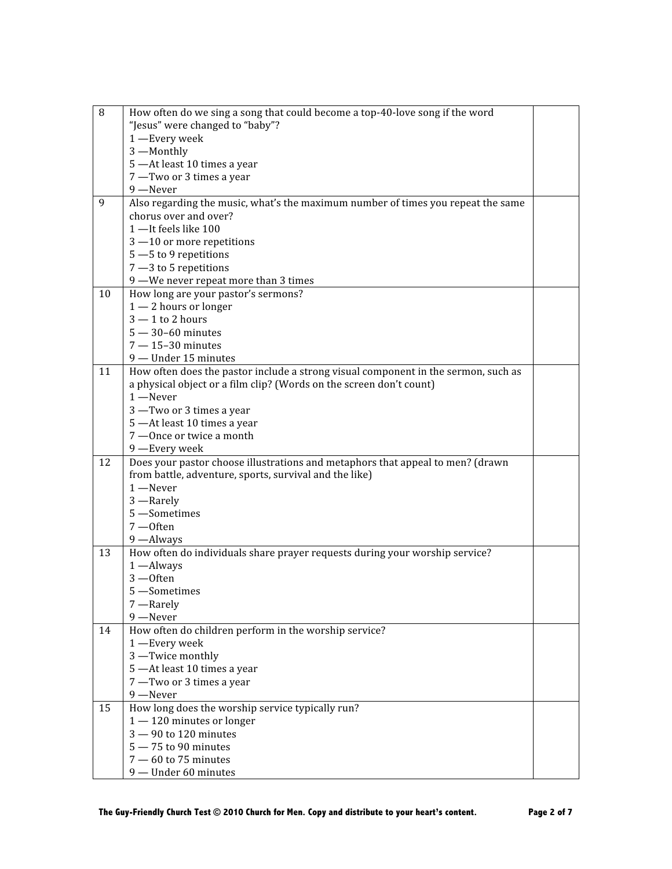| 8  | How often do we sing a song that could become a top-40-love song if the word       |  |
|----|------------------------------------------------------------------------------------|--|
|    | "Jesus" were changed to "baby"?                                                    |  |
|    | 1 -Every week                                                                      |  |
|    | 3-Monthly                                                                          |  |
|    | 5 - At least 10 times a year                                                       |  |
|    | 7 -Two or 3 times a year                                                           |  |
|    | 9 -Never                                                                           |  |
| 9  | Also regarding the music, what's the maximum number of times you repeat the same   |  |
|    | chorus over and over?                                                              |  |
|    | 1-It feels like 100                                                                |  |
|    | $3 - 10$ or more repetitions                                                       |  |
|    | $5 - 5$ to 9 repetitions                                                           |  |
|    | $7 - 3$ to 5 repetitions                                                           |  |
|    | 9 -We never repeat more than 3 times                                               |  |
| 10 | How long are your pastor's sermons?                                                |  |
|    | $1 - 2$ hours or longer                                                            |  |
|    | $3 - 1$ to 2 hours                                                                 |  |
|    | $5 - 30 - 60$ minutes                                                              |  |
|    | $7 - 15 - 30$ minutes                                                              |  |
|    | 9 - Under 15 minutes                                                               |  |
| 11 | How often does the pastor include a strong visual component in the sermon, such as |  |
|    | a physical object or a film clip? (Words on the screen don't count)                |  |
|    | $1 -$ Never                                                                        |  |
|    | 3 -Two or 3 times a year                                                           |  |
|    | 5 - At least 10 times a year                                                       |  |
|    | 7 - Once or twice a month                                                          |  |
|    | 9 - Every week                                                                     |  |
| 12 | Does your pastor choose illustrations and metaphors that appeal to men? (drawn     |  |
|    | from battle, adventure, sports, survival and the like)                             |  |
|    | $1 -$ Never                                                                        |  |
|    | 3 -Rarely                                                                          |  |
|    | 5 -Sometimes                                                                       |  |
|    | $7 -$ Often                                                                        |  |
|    | 9 -Always                                                                          |  |
| 13 | How often do individuals share prayer requests during your worship service?        |  |
|    | $1 -$ Always                                                                       |  |
|    | $3 -$ Often                                                                        |  |
|    | 5 -Sometimes                                                                       |  |
|    | 7-Rarely                                                                           |  |
|    | 9 -Never                                                                           |  |
| 14 | How often do children perform in the worship service?                              |  |
|    | 1 -Every week                                                                      |  |
|    | 3-Twice monthly                                                                    |  |
|    | 5 - At least 10 times a year                                                       |  |
|    | 7 -Two or 3 times a year                                                           |  |
|    | 9 -Never                                                                           |  |
| 15 | How long does the worship service typically run?                                   |  |
|    | $1 - 120$ minutes or longer                                                        |  |
|    | $3 - 90$ to 120 minutes                                                            |  |
|    | $5 - 75$ to 90 minutes                                                             |  |
|    | $7 - 60$ to 75 minutes                                                             |  |
|    | 9 - Under 60 minutes                                                               |  |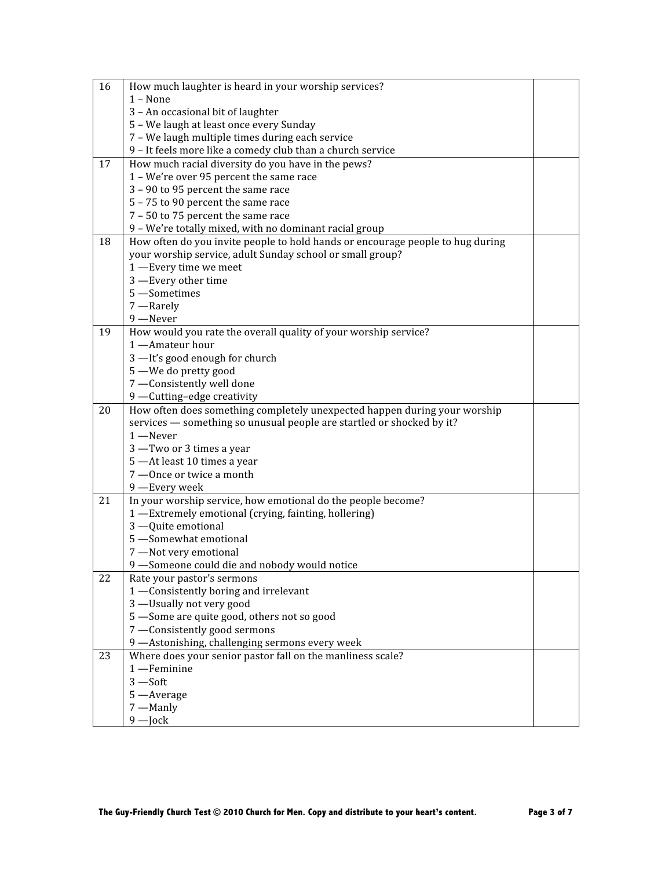| 16 | How much laughter is heard in your worship services?                           |  |
|----|--------------------------------------------------------------------------------|--|
|    | $1 - None$                                                                     |  |
|    | 3 - An occasional bit of laughter                                              |  |
|    | 5 - We laugh at least once every Sunday                                        |  |
|    | 7 - We laugh multiple times during each service                                |  |
|    | 9 - It feels more like a comedy club than a church service                     |  |
| 17 | How much racial diversity do you have in the pews?                             |  |
|    | 1 - We're over 95 percent the same race                                        |  |
|    | 3 - 90 to 95 percent the same race                                             |  |
|    | 5 - 75 to 90 percent the same race                                             |  |
|    | 7 - 50 to 75 percent the same race                                             |  |
|    | 9 - We're totally mixed, with no dominant racial group                         |  |
| 18 | How often do you invite people to hold hands or encourage people to hug during |  |
|    | your worship service, adult Sunday school or small group?                      |  |
|    | 1 -Every time we meet                                                          |  |
|    | 3 -Every other time                                                            |  |
|    | 5 -Sometimes                                                                   |  |
|    | 7-Rarely                                                                       |  |
|    | 9 -Never                                                                       |  |
| 19 | How would you rate the overall quality of your worship service?                |  |
|    | 1-Amateur hour                                                                 |  |
|    | 3-It's good enough for church                                                  |  |
|    | 5 -We do pretty good                                                           |  |
|    | 7 -Consistently well done                                                      |  |
|    | 9 -Cutting-edge creativity                                                     |  |
| 20 | How often does something completely unexpected happen during your worship      |  |
|    |                                                                                |  |
|    |                                                                                |  |
|    | services - something so unusual people are startled or shocked by it?          |  |
|    | $1 -$ Never                                                                    |  |
|    | 3 -Two or 3 times a year                                                       |  |
|    | 5 - At least 10 times a year                                                   |  |
|    | 7 - Once or twice a month                                                      |  |
|    | 9 - Every week                                                                 |  |
| 21 | In your worship service, how emotional do the people become?                   |  |
|    | 1 -Extremely emotional (crying, fainting, hollering)<br>3 - Quite emotional    |  |
|    | 5 -Somewhat emotional                                                          |  |
|    | 7 -Not very emotional                                                          |  |
|    | 9 -Someone could die and nobody would notice                                   |  |
| 22 | Rate your pastor's sermons                                                     |  |
|    | 1 -Consistently boring and irrelevant                                          |  |
|    | 3 -Usually not very good                                                       |  |
|    | 5 -Some are quite good, others not so good                                     |  |
|    | 7 -Consistently good sermons                                                   |  |
|    | 9 - Astonishing, challenging sermons every week                                |  |
| 23 | Where does your senior pastor fall on the manliness scale?                     |  |
|    | $1$ - Feminine                                                                 |  |
|    | $3 - Soft$                                                                     |  |
|    | 5 - Average                                                                    |  |
|    | 7 -Manly<br>$9$ - Jock                                                         |  |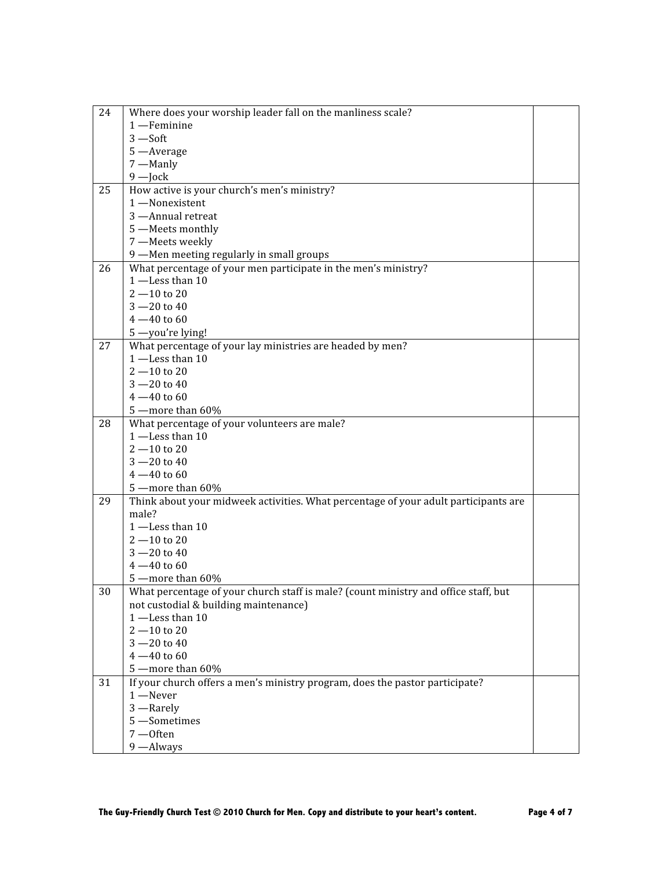| 24 | Where does your worship leader fall on the manliness scale?                         |  |
|----|-------------------------------------------------------------------------------------|--|
|    | 1 -Feminine                                                                         |  |
|    | $3 - Soft$                                                                          |  |
|    | 5 - Average                                                                         |  |
|    | 7 -Manly                                                                            |  |
|    | $9$ - Jock                                                                          |  |
| 25 | How active is your church's men's ministry?                                         |  |
|    | 1-Nonexistent                                                                       |  |
|    | 3 - Annual retreat                                                                  |  |
|    | 5 -Meets monthly                                                                    |  |
|    | 7 -Meets weekly                                                                     |  |
|    | 9 -Men meeting regularly in small groups                                            |  |
| 26 | What percentage of your men participate in the men's ministry?                      |  |
|    | $1$ -Less than $10$                                                                 |  |
|    | $2 - 10$ to 20                                                                      |  |
|    | $3 - 20$ to 40                                                                      |  |
|    | $4 - 40$ to 60                                                                      |  |
|    | 5-you're lying!                                                                     |  |
| 27 | What percentage of your lay ministries are headed by men?                           |  |
|    | $1$ -Less than 10                                                                   |  |
|    | $2 - 10$ to 20                                                                      |  |
|    | $3 - 20$ to 40                                                                      |  |
|    | $4 - 40$ to 60                                                                      |  |
|    | 5 - more than 60%                                                                   |  |
| 28 | What percentage of your volunteers are male?                                        |  |
|    | $1$ -Less than $10$                                                                 |  |
|    | $2 - 10$ to 20                                                                      |  |
|    | $3 - 20$ to 40                                                                      |  |
|    | $4 - 40$ to 60                                                                      |  |
|    | 5 - more than 60%                                                                   |  |
| 29 | Think about your midweek activities. What percentage of your adult participants are |  |
|    | male?                                                                               |  |
|    | $1$ -Less than 10                                                                   |  |
|    | $2 - 10$ to 20                                                                      |  |
|    | $3 - 20$ to 40                                                                      |  |
|    | $4 - 40$ to 60                                                                      |  |
|    | 5 - more than 60%                                                                   |  |
| 30 | What percentage of your church staff is male? (count ministry and office staff, but |  |
|    | not custodial & building maintenance)                                               |  |
|    | $1$ -Less than 10                                                                   |  |
|    | $2 - 10$ to 20                                                                      |  |
|    | $3 - 20$ to 40                                                                      |  |
|    | $4 - 40$ to 60                                                                      |  |
|    | 5 - more than 60%                                                                   |  |
| 31 | If your church offers a men's ministry program, does the pastor participate?        |  |
|    | $1 -$ Never                                                                         |  |
|    | 3-Rarely                                                                            |  |
|    | 5 -Sometimes                                                                        |  |
|    | $7 -$ Often                                                                         |  |
|    | 9 -Always                                                                           |  |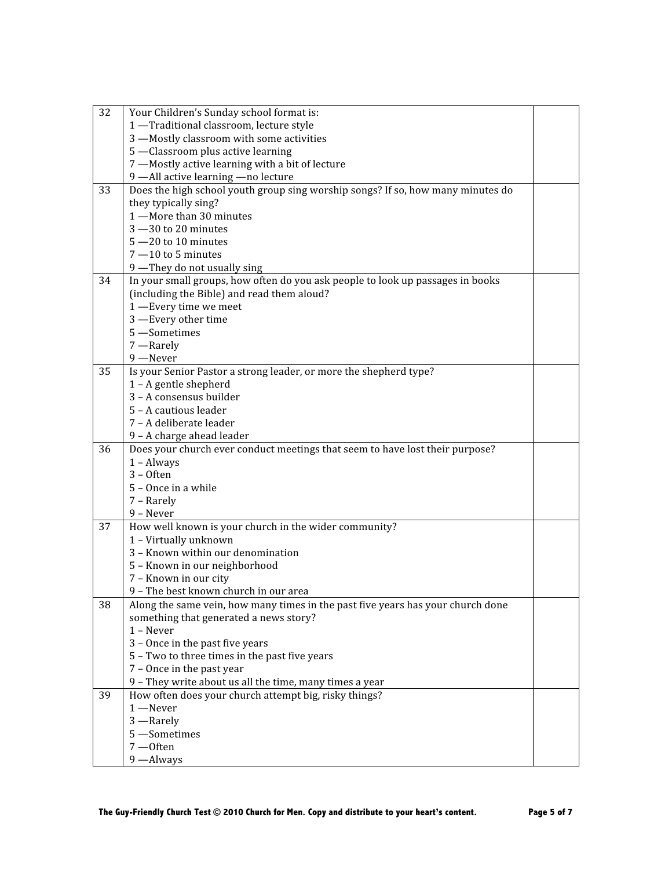| 32 | Your Children's Sunday school format is:                                        |  |
|----|---------------------------------------------------------------------------------|--|
|    | 1 -Traditional classroom, lecture style                                         |  |
|    | 3 -Mostly classroom with some activities                                        |  |
|    | 5 -Classroom plus active learning                                               |  |
|    | 7 -Mostly active learning with a bit of lecture                                 |  |
|    | 9 -All active learning -no lecture                                              |  |
| 33 | Does the high school youth group sing worship songs? If so, how many minutes do |  |
|    | they typically sing?                                                            |  |
|    | 1-More than 30 minutes                                                          |  |
|    | $3 - 30$ to 20 minutes                                                          |  |
|    | $5 - 20$ to 10 minutes                                                          |  |
|    | $7 - 10$ to 5 minutes                                                           |  |
|    | 9 -They do not usually sing                                                     |  |
| 34 | In your small groups, how often do you ask people to look up passages in books  |  |
|    | (including the Bible) and read them aloud?                                      |  |
|    | 1 -Every time we meet                                                           |  |
|    | 3 -Every other time                                                             |  |
|    | 5 -Sometimes                                                                    |  |
|    | 7-Rarely                                                                        |  |
|    | 9 -Never                                                                        |  |
| 35 | Is your Senior Pastor a strong leader, or more the shepherd type?               |  |
|    | $1 - A$ gentle shepherd                                                         |  |
|    | 3 - A consensus builder                                                         |  |
|    | 5 - A cautious leader                                                           |  |
|    | 7 - A deliberate leader                                                         |  |
|    | 9 - A charge ahead leader                                                       |  |
| 36 | Does your church ever conduct meetings that seem to have lost their purpose?    |  |
|    | $1 -$ Always                                                                    |  |
|    | $3 -$ Often                                                                     |  |
|    | 5 - Once in a while                                                             |  |
|    | 7 - Rarely                                                                      |  |
|    | 9 - Never                                                                       |  |
| 37 | How well known is your church in the wider community?                           |  |
|    | 1 - Virtually unknown                                                           |  |
|    | 3 - Known within our denomination                                               |  |
|    | 5 - Known in our neighborhood                                                   |  |
|    | 7 - Known in our city                                                           |  |
|    | 9 - The best known church in our area                                           |  |
| 38 | Along the same vein, how many times in the past five years has your church done |  |
|    | something that generated a news story?                                          |  |
|    | $1 -$ Never                                                                     |  |
|    | 3 - Once in the past five years                                                 |  |
|    | 5 - Two to three times in the past five years                                   |  |
|    | 7 - Once in the past year                                                       |  |
|    | 9 - They write about us all the time, many times a year                         |  |
| 39 | How often does your church attempt big, risky things?                           |  |
|    | $1 -$ Never                                                                     |  |
|    | 3 -Rarely                                                                       |  |
|    | 5-Sometimes                                                                     |  |
|    | 7-Often                                                                         |  |
|    | 9 -Always                                                                       |  |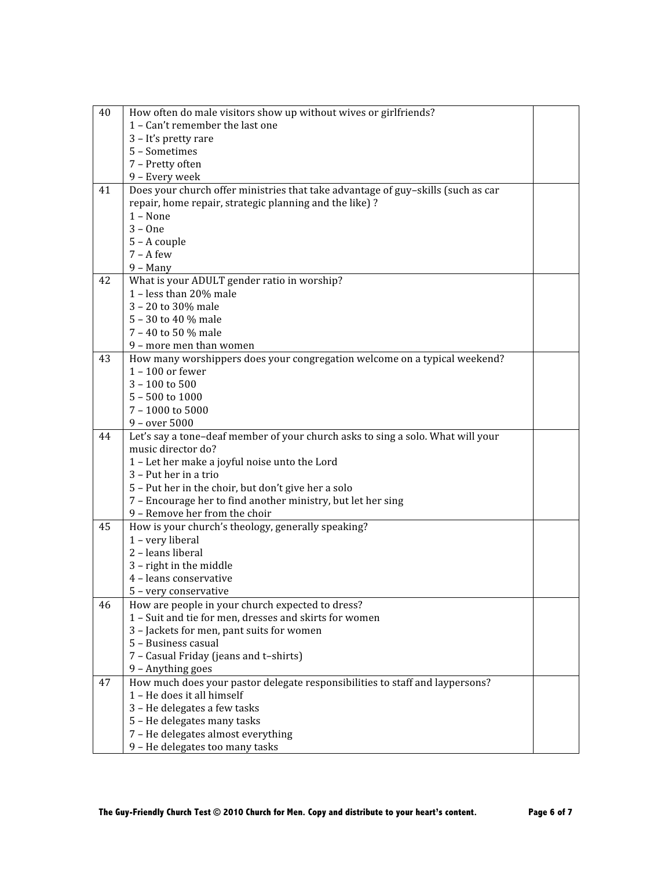| 40 | How often do male visitors show up without wives or girlfriends?                 |  |
|----|----------------------------------------------------------------------------------|--|
|    | 1 - Can't remember the last one                                                  |  |
|    | 3 - It's pretty rare                                                             |  |
|    | 5 - Sometimes                                                                    |  |
|    | 7 - Pretty often                                                                 |  |
|    | 9 - Every week                                                                   |  |
| 41 | Does your church offer ministries that take advantage of guy-skills (such as car |  |
|    | repair, home repair, strategic planning and the like)?                           |  |
|    | $1 - None$                                                                       |  |
|    | $3 - One$                                                                        |  |
|    | $5 - A$ couple                                                                   |  |
|    | $7 - A few$                                                                      |  |
|    | $9 - Many$                                                                       |  |
| 42 | What is your ADULT gender ratio in worship?                                      |  |
|    | 1 - less than 20% male                                                           |  |
|    | 3 - 20 to 30% male                                                               |  |
|    | 5 - 30 to 40 % male                                                              |  |
|    | 7 - 40 to 50 % male                                                              |  |
|    | 9 - more men than women                                                          |  |
| 43 | How many worshippers does your congregation welcome on a typical weekend?        |  |
|    | $1 - 100$ or fewer                                                               |  |
|    | $3 - 100$ to 500                                                                 |  |
|    | 5 - 500 to 1000                                                                  |  |
|    | $7 - 1000$ to 5000                                                               |  |
|    | $9 - over 5000$                                                                  |  |
| 44 | Let's say a tone-deaf member of your church asks to sing a solo. What will your  |  |
|    | music director do?                                                               |  |
|    | 1 - Let her make a joyful noise unto the Lord                                    |  |
|    | 3 - Put her in a trio                                                            |  |
|    | 5 - Put her in the choir, but don't give her a solo                              |  |
|    | 7 - Encourage her to find another ministry, but let her sing                     |  |
|    | 9 - Remove her from the choir                                                    |  |
| 45 | How is your church's theology, generally speaking?                               |  |
|    | 1 - very liberal                                                                 |  |
|    | 2 - leans liberal                                                                |  |
|    | 3 - right in the middle                                                          |  |
|    | 4 - leans conservative                                                           |  |
|    | 5 - very conservative                                                            |  |
| 46 | How are people in your church expected to dress?                                 |  |
|    | 1 - Suit and tie for men, dresses and skirts for women                           |  |
|    | 3 - Jackets for men, pant suits for women                                        |  |
|    | 5 - Business casual                                                              |  |
|    | 7 - Casual Friday (jeans and t-shirts)                                           |  |
|    | 9 - Anything goes                                                                |  |
| 47 | How much does your pastor delegate responsibilities to staff and laypersons?     |  |
|    | 1 - He does it all himself                                                       |  |
|    | 3 - He delegates a few tasks                                                     |  |
|    | 5 - He delegates many tasks                                                      |  |
|    | 7 - He delegates almost everything                                               |  |
|    | 9 - He delegates too many tasks                                                  |  |